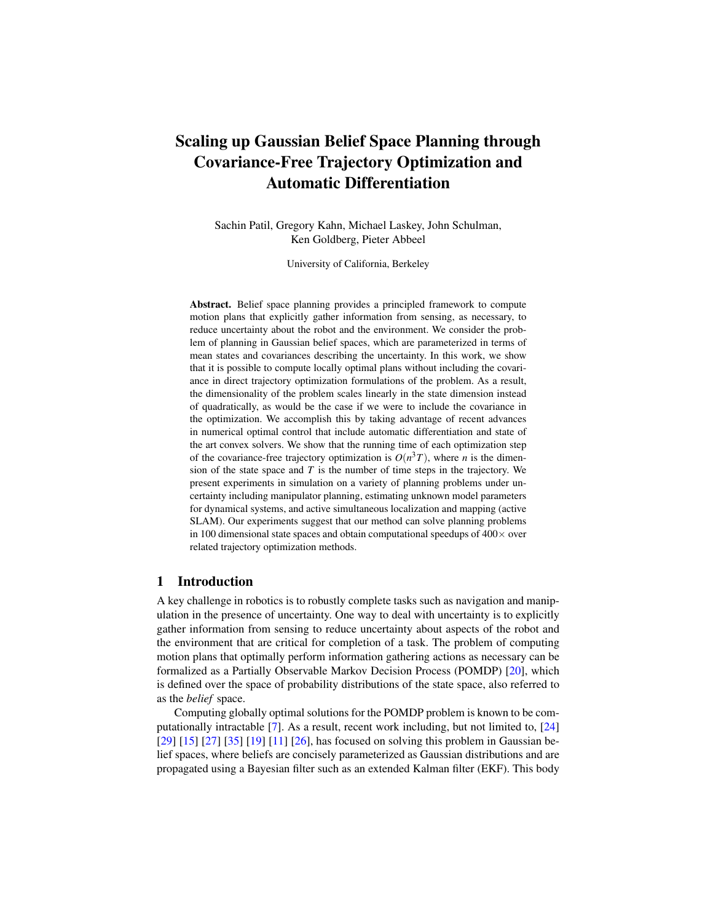# Scaling up Gaussian Belief Space Planning through Covariance-Free Trajectory Optimization and Automatic Differentiation

Sachin Patil, Gregory Kahn, Michael Laskey, John Schulman, Ken Goldberg, Pieter Abbeel

University of California, Berkeley

Abstract. Belief space planning provides a principled framework to compute motion plans that explicitly gather information from sensing, as necessary, to reduce uncertainty about the robot and the environment. We consider the problem of planning in Gaussian belief spaces, which are parameterized in terms of mean states and covariances describing the uncertainty. In this work, we show that it is possible to compute locally optimal plans without including the covariance in direct trajectory optimization formulations of the problem. As a result, the dimensionality of the problem scales linearly in the state dimension instead of quadratically, as would be the case if we were to include the covariance in the optimization. We accomplish this by taking advantage of recent advances in numerical optimal control that include automatic differentiation and state of the art convex solvers. We show that the running time of each optimization step of the covariance-free trajectory optimization is  $O(n^3T)$ , where *n* is the dimension of the state space and *T* is the number of time steps in the trajectory. We present experiments in simulation on a variety of planning problems under uncertainty including manipulator planning, estimating unknown model parameters for dynamical systems, and active simultaneous localization and mapping (active SLAM). Our experiments suggest that our method can solve planning problems in 100 dimensional state spaces and obtain computational speedups of  $400\times$  over related trajectory optimization methods.

## 1 Introduction

A key challenge in robotics is to robustly complete tasks such as navigation and manipulation in the presence of uncertainty. One way to deal with uncertainty is to explicitly gather information from sensing to reduce uncertainty about aspects of the robot and the environment that are critical for completion of a task. The problem of computing motion plans that optimally perform information gathering actions as necessary can be formalized as a Partially Observable Markov Decision Process (POMDP) [\[20\]](#page-15-0), which is defined over the space of probability distributions of the state space, also referred to as the *belief* space.

Computing globally optimal solutions for the POMDP problem is known to be computationally intractable [\[7\]](#page-14-0). As a result, recent work including, but not limited to, [\[24\]](#page-15-1) [\[29\]](#page-15-2) [\[15\]](#page-14-1) [\[27\]](#page-15-3) [\[35\]](#page-15-4) [\[19\]](#page-15-5) [\[11\]](#page-14-2) [\[26\]](#page-15-6), has focused on solving this problem in Gaussian belief spaces, where beliefs are concisely parameterized as Gaussian distributions and are propagated using a Bayesian filter such as an extended Kalman filter (EKF). This body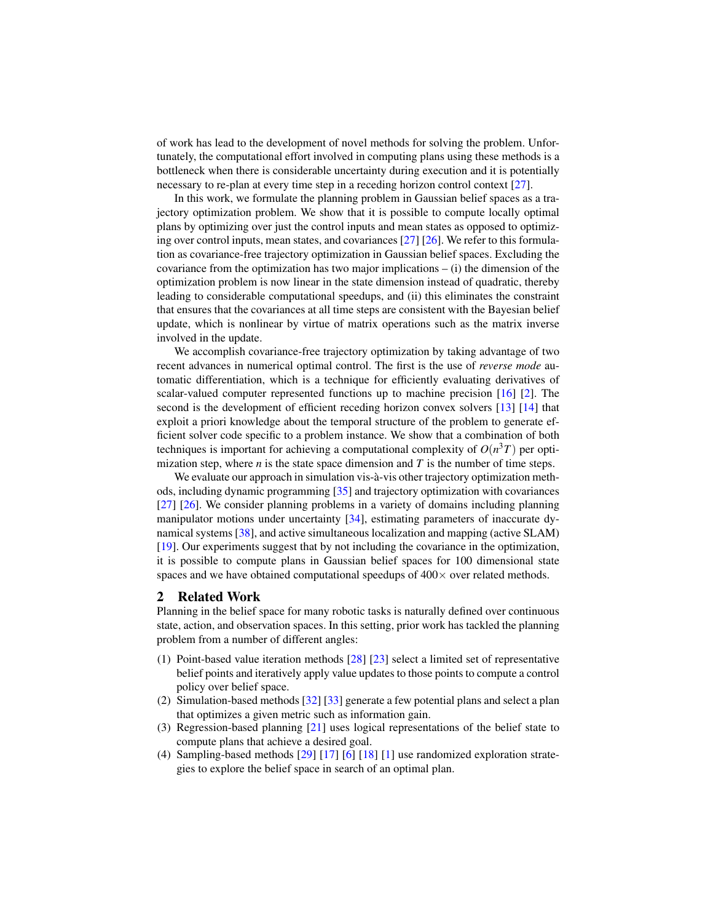of work has lead to the development of novel methods for solving the problem. Unfortunately, the computational effort involved in computing plans using these methods is a bottleneck when there is considerable uncertainty during execution and it is potentially necessary to re-plan at every time step in a receding horizon control context [\[27\]](#page-15-3).

In this work, we formulate the planning problem in Gaussian belief spaces as a trajectory optimization problem. We show that it is possible to compute locally optimal plans by optimizing over just the control inputs and mean states as opposed to optimizing over control inputs, mean states, and covariances  $[27]$   $[26]$ . We refer to this formulation as covariance-free trajectory optimization in Gaussian belief spaces. Excluding the covariance from the optimization has two major implications  $-$  (i) the dimension of the optimization problem is now linear in the state dimension instead of quadratic, thereby leading to considerable computational speedups, and (ii) this eliminates the constraint that ensures that the covariances at all time steps are consistent with the Bayesian belief update, which is nonlinear by virtue of matrix operations such as the matrix inverse involved in the update.

We accomplish covariance-free trajectory optimization by taking advantage of two recent advances in numerical optimal control. The first is the use of *reverse mode* automatic differentiation, which is a technique for efficiently evaluating derivatives of scalar-valued computer represented functions up to machine precision [\[16\]](#page-15-7) [\[2\]](#page-14-3). The second is the development of efficient receding horizon convex solvers [\[13\]](#page-14-4) [\[14\]](#page-14-5) that exploit a priori knowledge about the temporal structure of the problem to generate efficient solver code specific to a problem instance. We show that a combination of both techniques is important for achieving a computational complexity of  $O(n^3T)$  per optimization step, where  $n$  is the state space dimension and  $T$  is the number of time steps.

We evaluate our approach in simulation vis-à-vis other trajectory optimization methods, including dynamic programming [\[35\]](#page-15-4) and trajectory optimization with covariances [\[27\]](#page-15-3) [\[26\]](#page-15-6). We consider planning problems in a variety of domains including planning manipulator motions under uncertainty [\[34\]](#page-15-8), estimating parameters of inaccurate dynamical systems [\[38\]](#page-15-9), and active simultaneous localization and mapping (active SLAM) [\[19\]](#page-15-5). Our experiments suggest that by not including the covariance in the optimization, it is possible to compute plans in Gaussian belief spaces for 100 dimensional state spaces and we have obtained computational speedups of  $400\times$  over related methods.

## 2 Related Work

Planning in the belief space for many robotic tasks is naturally defined over continuous state, action, and observation spaces. In this setting, prior work has tackled the planning problem from a number of different angles:

- (1) Point-based value iteration methods [\[28\]](#page-15-10) [\[23\]](#page-15-11) select a limited set of representative belief points and iteratively apply value updates to those points to compute a control policy over belief space.
- (2) Simulation-based methods [\[32\]](#page-15-12) [\[33\]](#page-15-13) generate a few potential plans and select a plan that optimizes a given metric such as information gain.
- (3) Regression-based planning [\[21\]](#page-15-14) uses logical representations of the belief state to compute plans that achieve a desired goal.
- (4) Sampling-based methods [\[29\]](#page-15-2) [\[17\]](#page-15-15) [\[6\]](#page-14-6) [\[18\]](#page-15-16) [\[1\]](#page-14-7) use randomized exploration strategies to explore the belief space in search of an optimal plan.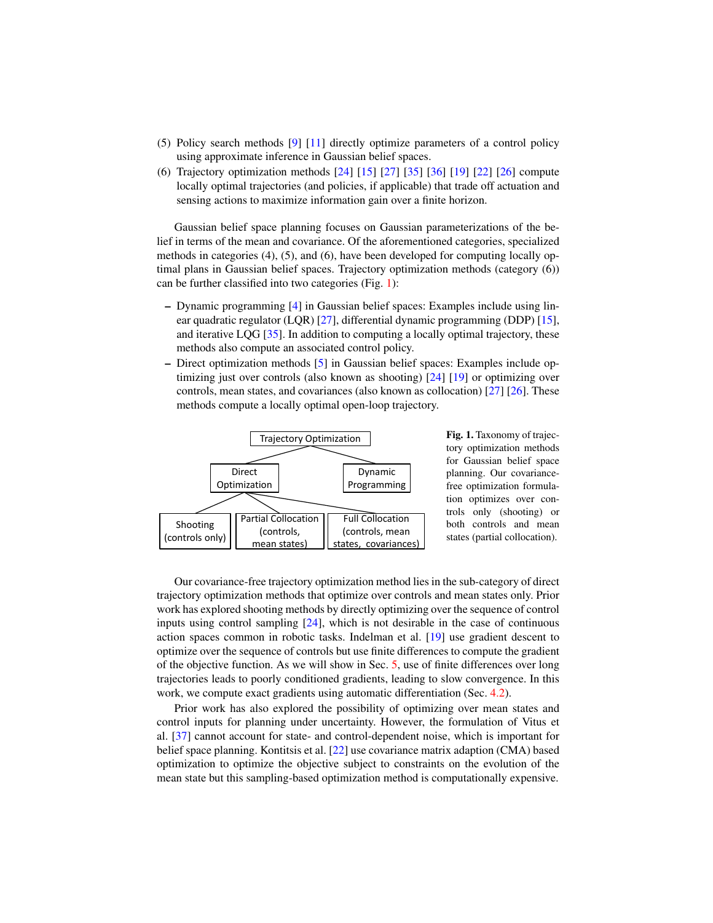- (5) Policy search methods [\[9\]](#page-14-8) [\[11\]](#page-14-2) directly optimize parameters of a control policy using approximate inference in Gaussian belief spaces.
- (6) Trajectory optimization methods [\[24\]](#page-15-1) [\[15\]](#page-14-1) [\[27\]](#page-15-3) [\[35\]](#page-15-4) [\[36\]](#page-15-17) [\[19\]](#page-15-5) [\[22\]](#page-15-18) [\[26\]](#page-15-6) compute locally optimal trajectories (and policies, if applicable) that trade off actuation and sensing actions to maximize information gain over a finite horizon.

Gaussian belief space planning focuses on Gaussian parameterizations of the belief in terms of the mean and covariance. Of the aforementioned categories, specialized methods in categories (4), (5), and (6), have been developed for computing locally optimal plans in Gaussian belief spaces. Trajectory optimization methods (category (6)) can be further classified into two categories (Fig. [1\)](#page-2-0):

- Dynamic programming [\[4\]](#page-14-9) in Gaussian belief spaces: Examples include using linear quadratic regulator (LQR) [\[27\]](#page-15-3), differential dynamic programming (DDP) [\[15\]](#page-14-1), and iterative LQG [\[35\]](#page-15-4). In addition to computing a locally optimal trajectory, these methods also compute an associated control policy.
- Direct optimization methods [\[5\]](#page-14-10) in Gaussian belief spaces: Examples include optimizing just over controls (also known as shooting) [\[24\]](#page-15-1) [\[19\]](#page-15-5) or optimizing over controls, mean states, and covariances (also known as collocation) [\[27\]](#page-15-3) [\[26\]](#page-15-6). These methods compute a locally optimal open-loop trajectory.



<span id="page-2-0"></span>Fig. 1. Taxonomy of trajectory optimization methods for Gaussian belief space planning. Our covariancefree optimization formulation optimizes over controls only (shooting) or both controls and mean states (partial collocation).

Our covariance-free trajectory optimization method lies in the sub-category of direct trajectory optimization methods that optimize over controls and mean states only. Prior work has explored shooting methods by directly optimizing over the sequence of control inputs using control sampling [\[24\]](#page-15-1), which is not desirable in the case of continuous action spaces common in robotic tasks. Indelman et al. [\[19\]](#page-15-5) use gradient descent to optimize over the sequence of controls but use finite differences to compute the gradient of the objective function. As we will show in Sec. [5,](#page-8-0) use of finite differences over long trajectories leads to poorly conditioned gradients, leading to slow convergence. In this work, we compute exact gradients using automatic differentiation (Sec. [4.2\)](#page-5-0).

Prior work has also explored the possibility of optimizing over mean states and control inputs for planning under uncertainty. However, the formulation of Vitus et al. [\[37\]](#page-15-19) cannot account for state- and control-dependent noise, which is important for belief space planning. Kontitsis et al. [\[22\]](#page-15-18) use covariance matrix adaption (CMA) based optimization to optimize the objective subject to constraints on the evolution of the mean state but this sampling-based optimization method is computationally expensive.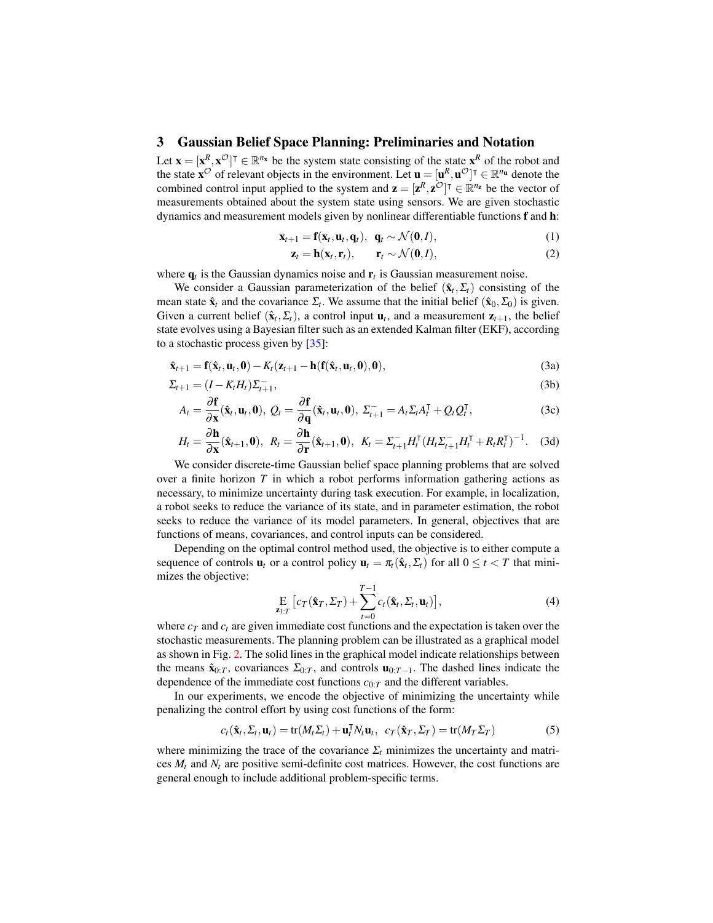## <span id="page-3-0"></span>3 Gaussian Belief Space Planning: Preliminaries and Notation

Let  $\mathbf{x} = [\mathbf{x}_i^R, \mathbf{x}^{\circ}]^T \in \mathbb{R}^{n_{\mathbf{x}}}$  be the system state consisting of the state  $\mathbf{x}^R$  of the robot and the state  $\mathbf{x}^{\mathcal{O}}$  of relevant objects in the environment. Let  $\mathbf{u} = [\mathbf{u}^R, \mathbf{u}^{\mathcal{O}}]^T \in \mathbb{R}^{n_{\mathbf{u}}}$  denote the combined control input applied to the system and  $\mathbf{z} = [\mathbf{z}^R, \mathbf{z}^{\circ}]^\top \in \mathbb{R}^{n_\mathbf{z}}$  be the vector of measurements obtained about the system state using sensors. We are given stochastic dynamics and measurement models given by nonlinear differentiable functions f and h:

$$
\mathbf{x}_{t+1} = \mathbf{f}(\mathbf{x}_t, \mathbf{u}_t, \mathbf{q}_t), \ \mathbf{q}_t \sim \mathcal{N}(\mathbf{0}, I), \tag{1}
$$

<span id="page-3-4"></span><span id="page-3-1"></span>
$$
\mathbf{z}_t = \mathbf{h}(\mathbf{x}_t, \mathbf{r}_t), \qquad \mathbf{r}_t \sim \mathcal{N}(\mathbf{0}, I), \tag{2}
$$

where  $q_t$  is the Gaussian dynamics noise and  $r_t$  is Gaussian measurement noise.

We consider a Gaussian parameterization of the belief  $(\hat{\mathbf{x}}_t, \Sigma_t)$  consisting of the mean state  $\hat{\mathbf{x}}_t$  and the covariance  $\Sigma_t$ . We assume that the initial belief  $(\hat{\mathbf{x}}_0, \Sigma_0)$  is given. Given a current belief  $(\hat{\mathbf{x}}_t, \Sigma_t)$ , a control input  $\mathbf{u}_t$ , and a measurement  $\mathbf{z}_{t+1}$ , the belief state evolves using a Bayesian filter such as an extended Kalman filter (EKF), according to a stochastic process given by [\[35\]](#page-15-4):

<span id="page-3-6"></span>
$$
\hat{\mathbf{x}}_{t+1} = \mathbf{f}(\hat{\mathbf{x}}_t, \mathbf{u}_t, \mathbf{0}) - K_t(\mathbf{z}_{t+1} - \mathbf{h}(\mathbf{f}(\hat{\mathbf{x}}_t, \mathbf{u}_t, \mathbf{0}), \mathbf{0}),
$$
\n(3a)

$$
\Sigma_{t+1} = (I - K_t H_t) \Sigma_{t+1}^{-},
$$
\n(3b)

$$
A_t = \frac{\partial \mathbf{f}}{\partial \mathbf{x}}(\hat{\mathbf{x}}_t, \mathbf{u}_t, \mathbf{0}), \ Q_t = \frac{\partial \mathbf{f}}{\partial \mathbf{q}}(\hat{\mathbf{x}}_t, \mathbf{u}_t, \mathbf{0}), \ \Sigma_{t+1}^- = A_t \Sigma_t A_t^\mathsf{T} + Q_t Q_t^\mathsf{T}, \tag{3c}
$$

$$
H_t = \frac{\partial \mathbf{h}}{\partial \mathbf{x}} (\hat{\mathbf{x}}_{t+1}, \mathbf{0}), \ R_t = \frac{\partial \mathbf{h}}{\partial \mathbf{r}} (\hat{\mathbf{x}}_{t+1}, \mathbf{0}), \ K_t = \Sigma_{t+1}^{-1} H_t^{\mathsf{T}} (H_t \Sigma_{t+1}^{-1} H_t^{\mathsf{T}} + R_t R_t^{\mathsf{T}})^{-1}.
$$
 (3d)

We consider discrete-time Gaussian belief space planning problems that are solved over a finite horizon *T* in which a robot performs information gathering actions as necessary, to minimize uncertainty during task execution. For example, in localization, a robot seeks to reduce the variance of its state, and in parameter estimation, the robot seeks to reduce the variance of its model parameters. In general, objectives that are functions of means, covariances, and control inputs can be considered.

Depending on the optimal control method used, the objective is to either compute a sequence of controls  $\mathbf{u}_t$  or a control policy  $\mathbf{u}_t = \pi_t(\hat{\mathbf{x}}_t, \Sigma_t)$  for all  $0 \le t < T$  that minimizes the objective:

<span id="page-3-5"></span><span id="page-3-2"></span>
$$
\underset{\mathbf{z}_{1:T}}{\mathbf{E}}\left[c_{T}(\hat{\mathbf{x}}_{T},\Sigma_{T})+\sum_{t=0}^{T-1}c_{t}(\hat{\mathbf{x}}_{t},\Sigma_{t},\mathbf{u}_{t})\right],\tag{4}
$$

where  $c_T$  and  $c_t$  are given immediate cost functions and the expectation is taken over the stochastic measurements. The planning problem can be illustrated as a graphical model as shown in Fig. [2.](#page-4-0) The solid lines in the graphical model indicate relationships between the means  $\hat{\mathbf{x}}_{0:T}$ , covariances  $\Sigma_{0:T}$ , and controls  $\mathbf{u}_{0:T-1}$ . The dashed lines indicate the dependence of the immediate cost functions  $c_{0:T}$  and the different variables.

In our experiments, we encode the objective of minimizing the uncertainty while penalizing the control effort by using cost functions of the form:

<span id="page-3-3"></span>
$$
c_t(\hat{\mathbf{x}}_t, \Sigma_t, \mathbf{u}_t) = \text{tr}(M_t \Sigma_t) + \mathbf{u}_t^{\mathsf{T}} N_t \mathbf{u}_t, \ \ c_T(\hat{\mathbf{x}}_T, \Sigma_T) = \text{tr}(M_T \Sigma_T) \tag{5}
$$

where minimizing the trace of the covariance  $\Sigma_t$  minimizes the uncertainty and matrices  $M_t$  and  $N_t$  are positive semi-definite cost matrices. However, the cost functions are general enough to include additional problem-specific terms.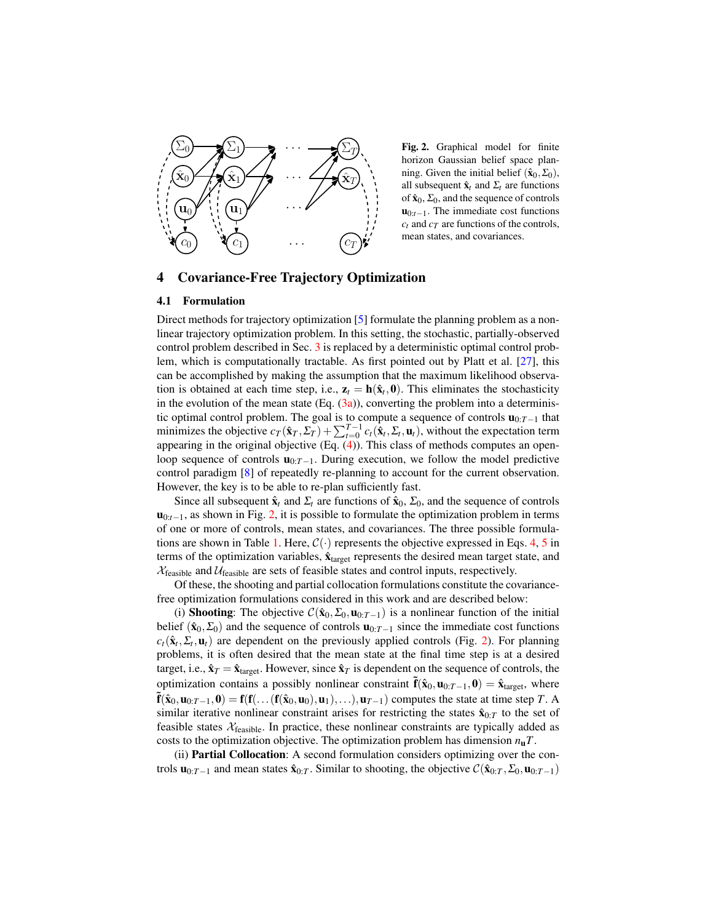

<span id="page-4-0"></span>Fig. 2. Graphical model for finite horizon Gaussian belief space planning. Given the initial belief  $(\hat{\mathbf{x}}_0, \Sigma_0)$ , all subsequent  $\hat{\mathbf{x}}_t$  and  $\Sigma_t$  are functions of  $\hat{\mathbf{x}}_0$ ,  $\Sigma_0$ , and the sequence of controls  $\mathbf{u}_{0:t-1}$ . The immediate cost functions *ct* and *cT* are functions of the controls, mean states, and covariances.

# 4 Covariance-Free Trajectory Optimization

#### 4.1 Formulation

Direct methods for trajectory optimization [\[5\]](#page-14-10) formulate the planning problem as a nonlinear trajectory optimization problem. In this setting, the stochastic, partially-observed control problem described in Sec. [3](#page-3-0) is replaced by a deterministic optimal control problem, which is computationally tractable. As first pointed out by Platt et al. [\[27\]](#page-15-3), this can be accomplished by making the assumption that the maximum likelihood observation is obtained at each time step, i.e.,  $z_t = h(\hat{x}_t, 0)$ . This eliminates the stochasticity in the evolution of the mean state  $(Eq. (3a))$  $(Eq. (3a))$  $(Eq. (3a))$ , converting the problem into a deterministic optimal control problem. The goal is to compute a sequence of controls  $\mathbf{u}_{0:T-1}$  that minimizes the objective  $c_T(\hat{\mathbf{x}}_T, \Sigma_T) + \sum_{t=0}^{T-1} c_t(\hat{\mathbf{x}}_t, \Sigma_t, \mathbf{u}_t)$ , without the expectation term appearing in the original objective  $(Eq. (4))$  $(Eq. (4))$  $(Eq. (4))$ . This class of methods computes an openloop sequence of controls **u**<sub>0:*T*−1</sub>. During execution, we follow the model predictive control paradigm [\[8\]](#page-14-11) of repeatedly re-planning to account for the current observation. However, the key is to be able to re-plan sufficiently fast.

Since all subsequent  $\hat{\mathbf{x}}_t$  and  $\Sigma_t$  are functions of  $\hat{\mathbf{x}}_0$ ,  $\Sigma_0$ , and the sequence of controls u<sub>0:*t*−1</sub>, as shown in Fig. [2,](#page-4-0) it is possible to formulate the optimization problem in terms of one or more of controls, mean states, and covariances. The three possible formula-tions are shown in Table [1.](#page-5-1) Here,  $C(\cdot)$  represents the objective expressed in Eqs. [4,](#page-3-2) [5](#page-3-3) in terms of the optimization variables,  $\hat{\mathbf{x}}_{\text{target}}$  represents the desired mean target state, and  $X_{\text{feasible}}$  and  $U_{\text{feasible}}$  are sets of feasible states and control inputs, respectively.

Of these, the shooting and partial collocation formulations constitute the covariancefree optimization formulations considered in this work and are described below:

(i) **Shooting:** The objective  $\mathcal{C}(\hat{\mathbf{x}}_0, \Sigma_0, \mathbf{u}_{0:T-1})$  is a nonlinear function of the initial belief  $(\hat{\mathbf{x}}_0, \Sigma_0)$  and the sequence of controls  $\mathbf{u}_{0:T-1}$  since the immediate cost functions  $c_t(\hat{\mathbf{x}}_t, \Sigma_t, \mathbf{u}_t)$  are dependent on the previously applied controls (Fig. [2\)](#page-4-0). For planning problems, it is often desired that the mean state at the final time step is at a desired target, i.e.,  $\hat{\mathbf{x}}_T = \hat{\mathbf{x}}_{\text{target}}$ . However, since  $\hat{\mathbf{x}}_T$  is dependent on the sequence of controls, the optimization contains a possibly nonlinear constraint  $\mathbf{\hat{f}}(\mathbf{\hat{x}}_0,\mathbf{u}_{0:T-1},\mathbf{0}) = \mathbf{\hat{x}}_{\text{target}}$ , where  $\tilde{\mathbf{f}}(\hat{\mathbf{x}}_0,\mathbf{u}_{0:T-1},\mathbf{0}) = \mathbf{f}(\mathbf{f}(\ldots(\mathbf{f}(\hat{\mathbf{x}}_0,\mathbf{u}_0),\mathbf{u}_1),\ldots),\mathbf{u}_{T-1})$  computes the state at time step *T*. A similar iterative nonlinear constraint arises for restricting the states  $\hat{\mathbf{x}}_{0:T}$  to the set of feasible states  $X_{\text{feasible}}$ . In practice, these nonlinear constraints are typically added as costs to the optimization objective. The optimization problem has dimension  $n_{\rm u}T$ .

(ii) Partial Collocation: A second formulation considers optimizing over the controls  $\mathbf{u}_{0:T-1}$  and mean states  $\hat{\mathbf{x}}_{0:T}$ . Similar to shooting, the objective  $\mathcal{C}(\hat{\mathbf{x}}_{0:T}, \Sigma_0, \mathbf{u}_{0:T-1})$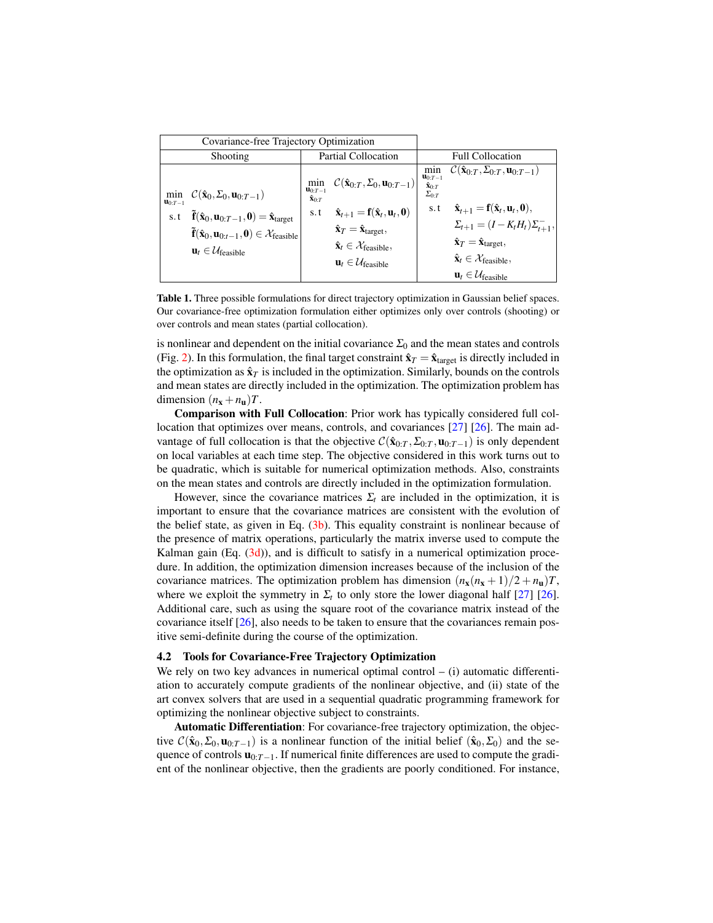|                             | Covariance-free Trajectory Optimization                                                                                                                                                                                                                                                                                                              |                                                         |                                                                                                                                                                                                                                                                                                                                           |                                                                      |                                                                                                                                                                                                                                                                                                                                                                                                |
|-----------------------------|------------------------------------------------------------------------------------------------------------------------------------------------------------------------------------------------------------------------------------------------------------------------------------------------------------------------------------------------------|---------------------------------------------------------|-------------------------------------------------------------------------------------------------------------------------------------------------------------------------------------------------------------------------------------------------------------------------------------------------------------------------------------------|----------------------------------------------------------------------|------------------------------------------------------------------------------------------------------------------------------------------------------------------------------------------------------------------------------------------------------------------------------------------------------------------------------------------------------------------------------------------------|
| Shooting                    |                                                                                                                                                                                                                                                                                                                                                      | <b>Partial Collocation</b>                              |                                                                                                                                                                                                                                                                                                                                           | <b>Full Collocation</b>                                              |                                                                                                                                                                                                                                                                                                                                                                                                |
| $\mathbf{u}_{0:T-1}$<br>s.t | min $\mathcal{C}(\hat{\mathbf{x}}_0, \Sigma_0, \mathbf{u}_{0:T-1})$<br>$\tilde{\mathbf{f}}(\hat{\mathbf{x}}_0, \mathbf{u}_{0:T-1}, \mathbf{0}) = \hat{\mathbf{x}}_{\text{target}}$<br>$\tilde{\mathbf{f}}(\hat{\mathbf{x}}_0, \mathbf{u}_{0:t-1}, \mathbf{0}) \in \mathcal{X}_{\text{feasible}}$<br>$\mathbf{u}_t \in \mathcal{U}_{\text{feasible}}$ | $\mathbf{u}_{0:T-1}$<br>$\hat{\mathbf{x}}_{0:T}$<br>s.t | min $\mathcal{C}(\hat{\mathbf{x}}_{0:T}, \Sigma_0, \mathbf{u}_{0:T-1})$<br>$\hat{\mathbf{x}}_{t+1} = \mathbf{f}(\hat{\mathbf{x}}_t, \mathbf{u}_t, \mathbf{0})$<br>$\hat{\mathbf{x}}_T = \hat{\mathbf{x}}_{\text{target}},$<br>$\hat{\mathbf{x}}_t \in \mathcal{X}_{\text{feasible}},$<br>$\mathbf{u}_t \in \mathcal{U}_{\text{feasible}}$ | min<br>$u0:T-1$<br>$\mathbf{\hat{x}}_{0:T}$<br>$\Sigma_{0:T}$<br>s.t | $\mathcal{C}(\hat{\mathbf{x}}_{0:T}, \Sigma_{0:T}, \mathbf{u}_{0:T-1})$<br>$\hat{\mathbf{x}}_{t+1} = \mathbf{f}(\hat{\mathbf{x}}_t, \mathbf{u}_t, \mathbf{0}),$<br>$\Sigma_{t+1} = (I - K_t H_t) \Sigma_{t+1}^{-},$<br>$\hat{\mathbf{x}}_T = \hat{\mathbf{x}}_{\text{target}},$<br>$\hat{\mathbf{x}}_t \in \mathcal{X}_{\text{feasible}},$<br>$\mathbf{u}_t \in \mathcal{U}_{\text{feasible}}$ |

<span id="page-5-1"></span>Table 1. Three possible formulations for direct trajectory optimization in Gaussian belief spaces. Our covariance-free optimization formulation either optimizes only over controls (shooting) or over controls and mean states (partial collocation).

is nonlinear and dependent on the initial covariance  $\Sigma_0$  and the mean states and controls (Fig. [2\)](#page-4-0). In this formulation, the final target constraint  $\hat{\mathbf{x}}_T = \hat{\mathbf{x}}_{\text{target}}$  is directly included in the optimization as  $\hat{\mathbf{x}}_T$  is included in the optimization. Similarly, bounds on the controls and mean states are directly included in the optimization. The optimization problem has dimension  $(n_x + n_u)T$ .

Comparison with Full Collocation: Prior work has typically considered full collocation that optimizes over means, controls, and covariances [\[27\]](#page-15-3) [\[26\]](#page-15-6). The main advantage of full collocation is that the objective  $C(\hat{\mathbf{x}}_{0:T}, \Sigma_{0:T}, \mathbf{u}_{0:T-1})$  is only dependent on local variables at each time step. The objective considered in this work turns out to be quadratic, which is suitable for numerical optimization methods. Also, constraints on the mean states and controls are directly included in the optimization formulation.

However, since the covariance matrices  $\Sigma_t$  are included in the optimization, it is important to ensure that the covariance matrices are consistent with the evolution of the belief state, as given in Eq.  $(3b)$ . This equality constraint is nonlinear because of the presence of matrix operations, particularly the matrix inverse used to compute the Kalman gain (Eq. [\(3d\)](#page-3-5)), and is difficult to satisfy in a numerical optimization procedure. In addition, the optimization dimension increases because of the inclusion of the covariance matrices. The optimization problem has dimension  $(n_x(n_x + 1)/2 + n_u)T$ , where we exploit the symmetry in  $\Sigma_t$  to only store the lower diagonal half [\[27\]](#page-15-3) [\[26\]](#page-15-6). Additional care, such as using the square root of the covariance matrix instead of the covariance itself  $[26]$ , also needs to be taken to ensure that the covariances remain positive semi-definite during the course of the optimization.

#### <span id="page-5-0"></span>4.2 Tools for Covariance-Free Trajectory Optimization

We rely on two key advances in numerical optimal control  $-$  (i) automatic differentiation to accurately compute gradients of the nonlinear objective, and (ii) state of the art convex solvers that are used in a sequential quadratic programming framework for optimizing the nonlinear objective subject to constraints.

Automatic Differentiation: For covariance-free trajectory optimization, the objective  $C(\hat{\mathbf{x}}_0, \Sigma_0, \mathbf{u}_{0:T-1})$  is a nonlinear function of the initial belief  $(\hat{\mathbf{x}}_0, \Sigma_0)$  and the sequence of controls **u**<sub>0:*T*−1</sub>. If numerical finite differences are used to compute the gradient of the nonlinear objective, then the gradients are poorly conditioned. For instance,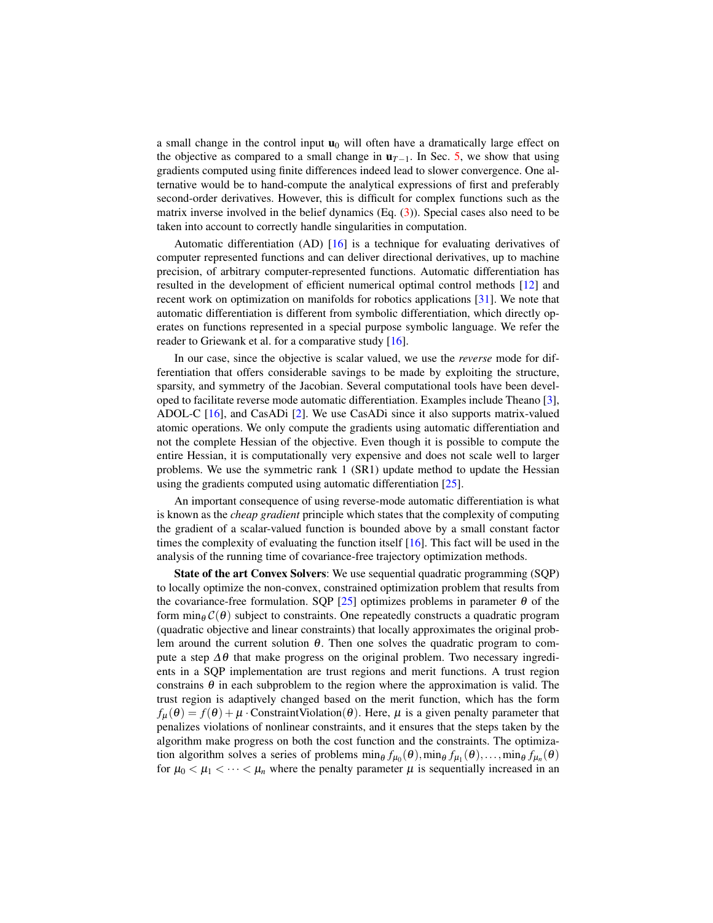a small change in the control input  $\mathbf{u}_0$  will often have a dramatically large effect on the objective as compared to a small change in  $u_{T-1}$ . In Sec. [5,](#page-8-0) we show that using gradients computed using finite differences indeed lead to slower convergence. One alternative would be to hand-compute the analytical expressions of first and preferably second-order derivatives. However, this is difficult for complex functions such as the matrix inverse involved in the belief dynamics (Eq. [\(3\)](#page-3-6)). Special cases also need to be taken into account to correctly handle singularities in computation.

Automatic differentiation (AD) [\[16\]](#page-15-7) is a technique for evaluating derivatives of computer represented functions and can deliver directional derivatives, up to machine precision, of arbitrary computer-represented functions. Automatic differentiation has resulted in the development of efficient numerical optimal control methods [\[12\]](#page-14-12) and recent work on optimization on manifolds for robotics applications [\[31\]](#page-15-20). We note that automatic differentiation is different from symbolic differentiation, which directly operates on functions represented in a special purpose symbolic language. We refer the reader to Griewank et al. for a comparative study [\[16\]](#page-15-7).

In our case, since the objective is scalar valued, we use the *reverse* mode for differentiation that offers considerable savings to be made by exploiting the structure, sparsity, and symmetry of the Jacobian. Several computational tools have been developed to facilitate reverse mode automatic differentiation. Examples include Theano [\[3\]](#page-14-13), ADOL-C [\[16\]](#page-15-7), and CasADi [\[2\]](#page-14-3). We use CasADi since it also supports matrix-valued atomic operations. We only compute the gradients using automatic differentiation and not the complete Hessian of the objective. Even though it is possible to compute the entire Hessian, it is computationally very expensive and does not scale well to larger problems. We use the symmetric rank 1 (SR1) update method to update the Hessian using the gradients computed using automatic differentiation [\[25\]](#page-15-21).

An important consequence of using reverse-mode automatic differentiation is what is known as the *cheap gradient* principle which states that the complexity of computing the gradient of a scalar-valued function is bounded above by a small constant factor times the complexity of evaluating the function itself [\[16\]](#page-15-7). This fact will be used in the analysis of the running time of covariance-free trajectory optimization methods.

State of the art Convex Solvers: We use sequential quadratic programming (SQP) to locally optimize the non-convex, constrained optimization problem that results from the covariance-free formulation. SQP [\[25\]](#page-15-21) optimizes problems in parameter  $\theta$  of the form  $\min_{\theta} C(\theta)$  subject to constraints. One repeatedly constructs a quadratic program (quadratic objective and linear constraints) that locally approximates the original problem around the current solution  $\theta$ . Then one solves the quadratic program to compute a step  $\Delta\theta$  that make progress on the original problem. Two necessary ingredients in a SQP implementation are trust regions and merit functions. A trust region constrains  $\theta$  in each subproblem to the region where the approximation is valid. The trust region is adaptively changed based on the merit function, which has the form  $f_{\mu}(\theta) = f(\theta) + \mu \cdot$ ConstraintViolation( $\theta$ ). Here,  $\mu$  is a given penalty parameter that penalizes violations of nonlinear constraints, and it ensures that the steps taken by the algorithm make progress on both the cost function and the constraints. The optimization algorithm solves a series of problems  $\min_{\theta} f_{\mu_0}(\theta), \min_{\theta} f_{\mu_1}(\theta), \ldots, \min_{\theta} f_{\mu_n}(\theta)$ for  $\mu_0 < \mu_1 < \cdots < \mu_n$  where the penalty parameter  $\mu$  is sequentially increased in an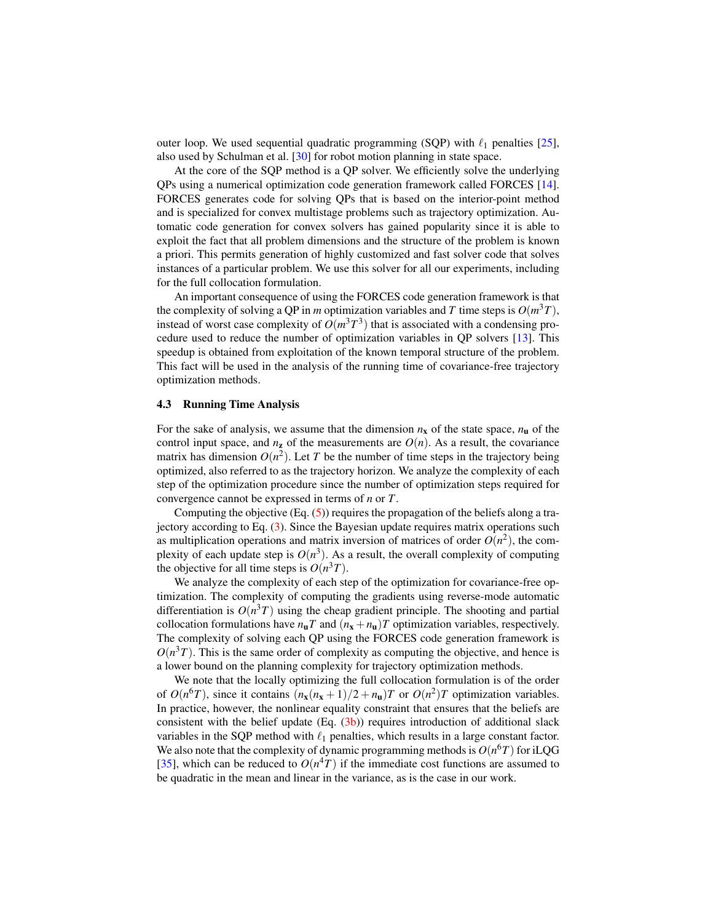outer loop. We used sequential quadratic programming (SQP) with  $\ell_1$  penalties [\[25\]](#page-15-21), also used by Schulman et al. [\[30\]](#page-15-22) for robot motion planning in state space.

At the core of the SQP method is a QP solver. We efficiently solve the underlying QPs using a numerical optimization code generation framework called FORCES [\[14\]](#page-14-5). FORCES generates code for solving QPs that is based on the interior-point method and is specialized for convex multistage problems such as trajectory optimization. Automatic code generation for convex solvers has gained popularity since it is able to exploit the fact that all problem dimensions and the structure of the problem is known a priori. This permits generation of highly customized and fast solver code that solves instances of a particular problem. We use this solver for all our experiments, including for the full collocation formulation.

An important consequence of using the FORCES code generation framework is that the complexity of solving a QP in *m* optimization variables and *T* time steps is  $O(m^3T)$ , instead of worst case complexity of  $O(m^3T^3)$  that is associated with a condensing procedure used to reduce the number of optimization variables in QP solvers [\[13\]](#page-14-4). This speedup is obtained from exploitation of the known temporal structure of the problem. This fact will be used in the analysis of the running time of covariance-free trajectory optimization methods.

#### 4.3 Running Time Analysis

For the sake of analysis, we assume that the dimension  $n_x$  of the state space,  $n_u$  of the control input space, and  $n_z$  of the measurements are  $O(n)$ . As a result, the covariance matrix has dimension  $O(n^2)$ . Let *T* be the number of time steps in the trajectory being optimized, also referred to as the trajectory horizon. We analyze the complexity of each step of the optimization procedure since the number of optimization steps required for convergence cannot be expressed in terms of *n* or *T*.

Computing the objective  $(Eq. (5))$  $(Eq. (5))$  $(Eq. (5))$  requires the propagation of the beliefs along a trajectory according to Eq. [\(3\)](#page-3-6). Since the Bayesian update requires matrix operations such as multiplication operations and matrix inversion of matrices of order  $O(n^2)$ , the complexity of each update step is  $O(n^3)$ . As a result, the overall complexity of computing the objective for all time steps is  $O(n^3T)$ .

We analyze the complexity of each step of the optimization for covariance-free optimization. The complexity of computing the gradients using reverse-mode automatic differentiation is  $O(n^3T)$  using the cheap gradient principle. The shooting and partial collocation formulations have  $n_{\mathbf{u}}T$  and  $(n_{\mathbf{x}} + n_{\mathbf{u}})T$  optimization variables, respectively. The complexity of solving each QP using the FORCES code generation framework is  $O(n^3T)$ . This is the same order of complexity as computing the objective, and hence is a lower bound on the planning complexity for trajectory optimization methods.

We note that the locally optimizing the full collocation formulation is of the order of  $O(n^6T)$ , since it contains  $(n_x(n_x+1)/2+n_u)T$  or  $O(n^2)T$  optimization variables. In practice, however, the nonlinear equality constraint that ensures that the beliefs are consistent with the belief update (Eq.  $(3b)$ ) requires introduction of additional slack variables in the SQP method with  $\ell_1$  penalties, which results in a large constant factor. We also note that the complexity of dynamic programming methods is  $O(n^6T)$  for iLQG [\[35\]](#page-15-4), which can be reduced to  $O(n^4T)$  if the immediate cost functions are assumed to be quadratic in the mean and linear in the variance, as is the case in our work.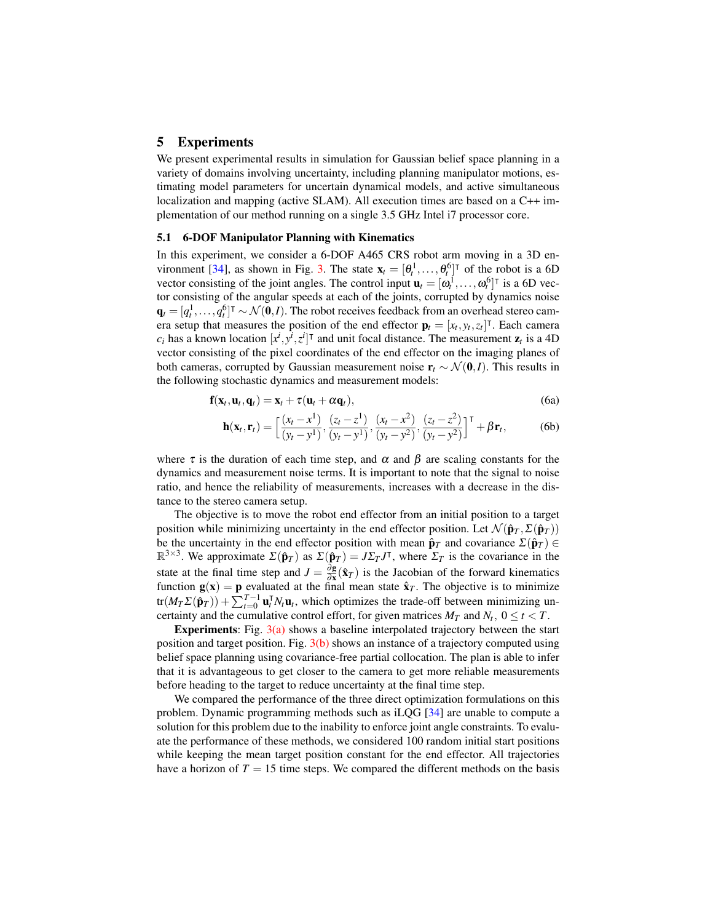## <span id="page-8-0"></span>5 Experiments

We present experimental results in simulation for Gaussian belief space planning in a variety of domains involving uncertainty, including planning manipulator motions, estimating model parameters for uncertain dynamical models, and active simultaneous localization and mapping (active SLAM). All execution times are based on a C++ implementation of our method running on a single 3.5 GHz Intel i7 processor core.

## 5.1 6-DOF Manipulator Planning with Kinematics

In this experiment, we consider a 6-DOF A465 CRS robot arm moving in a 3D en-vironment [\[34\]](#page-15-8), as shown in Fig. [3.](#page-9-0) The state  $\mathbf{x}_t = [\theta_t^1, \dots, \theta_t^6]^\top$  of the robot is a 6D vector consisting of the joint angles. The control input  $\mathbf{u}_t = [\omega_t^1, \dots, \omega_t^6]^\top$  is a 6D vector consisting of the angular speeds at each of the joints, corrupted by dynamics noise  $\mathbf{q}_t = [q_t^1, \dots, q_t^6]^\intercal \sim \mathcal{N}(\mathbf{0}, I)$ . The robot receives feedback from an overhead stereo camera setup that measures the position of the end effector  $\mathbf{p}_t = [x_t, y_t, z_t]^\mathsf{T}$ . Each camera  $c_i$  has a known location  $[x^i, y^i, z^i]$ <sup>T</sup> and unit focal distance. The measurement  $z_t$  is a 4D vector consisting of the pixel coordinates of the end effector on the imaging planes of both cameras, corrupted by Gaussian measurement noise  $\mathbf{r}_t \sim \mathcal{N}(\mathbf{0}, I)$ . This results in the following stochastic dynamics and measurement models:

$$
\mathbf{f}(\mathbf{x}_t, \mathbf{u}_t, \mathbf{q}_t) = \mathbf{x}_t + \tau(\mathbf{u}_t + \alpha \mathbf{q}_t),
$$
\n(6a)

$$
\mathbf{h}(\mathbf{x}_t, \mathbf{r}_t) = \left[ \frac{(x_t - x^1)}{(y_t - y^1)}, \frac{(z_t - z^1)}{(y_t - y^1)}, \frac{(x_t - x^2)}{(y_t - y^2)}, \frac{(z_t - z^2)}{(y_t - y^2)} \right]^\mathsf{T} + \beta \mathbf{r}_t,
$$
(6b)

where  $\tau$  is the duration of each time step, and  $\alpha$  and  $\beta$  are scaling constants for the dynamics and measurement noise terms. It is important to note that the signal to noise ratio, and hence the reliability of measurements, increases with a decrease in the distance to the stereo camera setup.

The objective is to move the robot end effector from an initial position to a target position while minimizing uncertainty in the end effector position. Let  $\mathcal{N}(\hat{\mathbf{p}}_T, \Sigma(\hat{\mathbf{p}}_T))$ be the uncertainty in the end effector position with mean  $\hat{\mathbf{p}}_T$  and covariance  $\Sigma(\hat{\mathbf{p}}_T) \in$  $\mathbb{R}^{3\times3}$ . We approximate  $\Sigma(\hat{\mathbf{p}}_T)$  as  $\Sigma(\hat{\mathbf{p}}_T) = J\Sigma_T J^\intercal$ , where  $\Sigma_T$  is the covariance in the state at the final time step and  $J = \frac{\partial g}{\partial x}(\hat{x}_T)$  is the Jacobian of the forward kinematics function  $g(x) = p$  evaluated at the final mean state  $\hat{x}_T$ . The objective is to minimize  $tr(M_T \Sigma(\hat{\mathbf{p}}_T)) + \sum_{t=0}^{T-1} \mathbf{u}_t^{\mathsf{T}} N_t \mathbf{u}_t$ , which optimizes the trade-off between minimizing uncertainty and the cumulative control effort, for given matrices  $M_T$  and  $N_t$ ,  $0 \le t < T$ .

**Experiments:** Fig.  $3(a)$  shows a baseline interpolated trajectory between the start position and target position. Fig.  $3(b)$  shows an instance of a trajectory computed using belief space planning using covariance-free partial collocation. The plan is able to infer that it is advantageous to get closer to the camera to get more reliable measurements before heading to the target to reduce uncertainty at the final time step.

We compared the performance of the three direct optimization formulations on this problem. Dynamic programming methods such as iLQG [\[34\]](#page-15-8) are unable to compute a solution for this problem due to the inability to enforce joint angle constraints. To evaluate the performance of these methods, we considered 100 random initial start positions while keeping the mean target position constant for the end effector. All trajectories have a horizon of  $T = 15$  time steps. We compared the different methods on the basis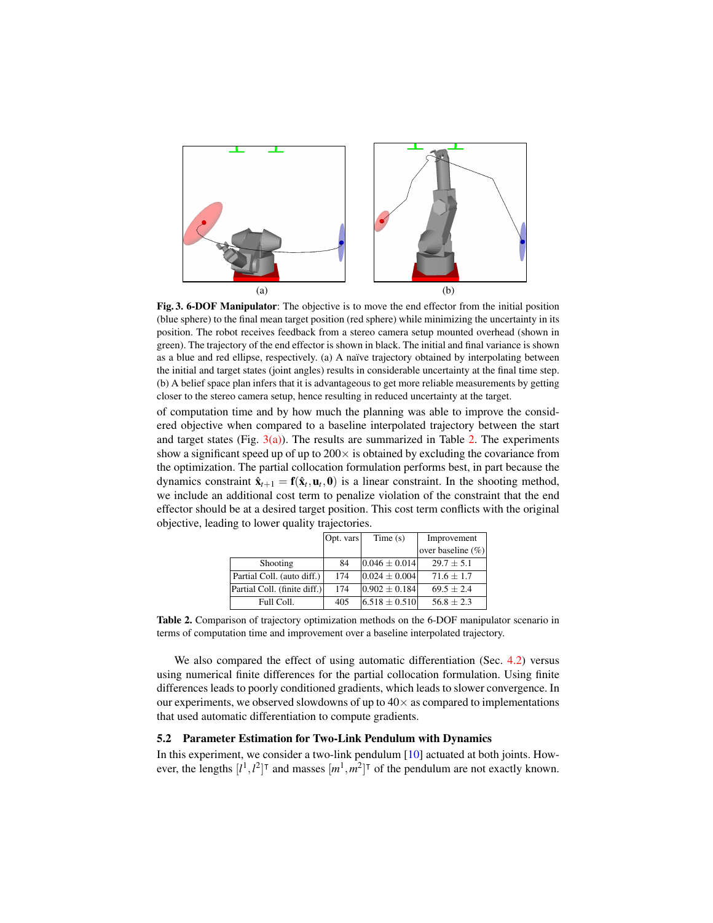

<span id="page-9-2"></span><span id="page-9-1"></span><span id="page-9-0"></span>Fig. 3. 6-DOF Manipulator: The objective is to move the end effector from the initial position (blue sphere) to the final mean target position (red sphere) while minimizing the uncertainty in its position. The robot receives feedback from a stereo camera setup mounted overhead (shown in green). The trajectory of the end effector is shown in black. The initial and final variance is shown as a blue and red ellipse, respectively. (a) A naïve trajectory obtained by interpolating between the initial and target states (joint angles) results in considerable uncertainty at the final time step. (b) A belief space plan infers that it is advantageous to get more reliable measurements by getting closer to the stereo camera setup, hence resulting in reduced uncertainty at the target.

of computation time and by how much the planning was able to improve the considered objective when compared to a baseline interpolated trajectory between the start and target states (Fig.  $3(a)$ ). The results are summarized in Table [2.](#page-9-3) The experiments show a significant speed up of up to  $200 \times$  is obtained by excluding the covariance from the optimization. The partial collocation formulation performs best, in part because the dynamics constraint  $\hat{\mathbf{x}}_{t+1} = \mathbf{f}(\hat{\mathbf{x}}_t, \mathbf{u}_t, \mathbf{0})$  is a linear constraint. In the shooting method, we include an additional cost term to penalize violation of the constraint that the end effector should be at a desired target position. This cost term conflicts with the original objective, leading to lower quality trajectories.

|                              | Opt. vars | Time(s)             | Improvement          |
|------------------------------|-----------|---------------------|----------------------|
|                              |           |                     | over baseline $(\%)$ |
| Shooting                     | 84        | $0.046 \pm 0.014$   | $29.7 \pm 5.1$       |
| Partial Coll. (auto diff.)   | 174       | $ 0.024 \pm 0.004 $ | $71.6 \pm 1.7$       |
| Partial Coll. (finite diff.) | 174       | $0.902 \pm 0.184$   | $69.5 \pm 2.4$       |
| Full Coll.                   | 405       | $6.518 \pm 0.510$   | $56.8 \pm 2.3$       |

<span id="page-9-3"></span>Table 2. Comparison of trajectory optimization methods on the 6-DOF manipulator scenario in terms of computation time and improvement over a baseline interpolated trajectory.

We also compared the effect of using automatic differentiation (Sec. [4.2\)](#page-5-0) versus using numerical finite differences for the partial collocation formulation. Using finite differences leads to poorly conditioned gradients, which leads to slower convergence. In our experiments, we observed slowdowns of up to  $40\times$  as compared to implementations that used automatic differentiation to compute gradients.

## 5.2 Parameter Estimation for Two-Link Pendulum with Dynamics

In this experiment, we consider a two-link pendulum [\[10\]](#page-14-14) actuated at both joints. However, the lengths  $[i^1, l^2]^\intercal$  and masses  $[m^1, m^2]^\intercal$  of the pendulum are not exactly known.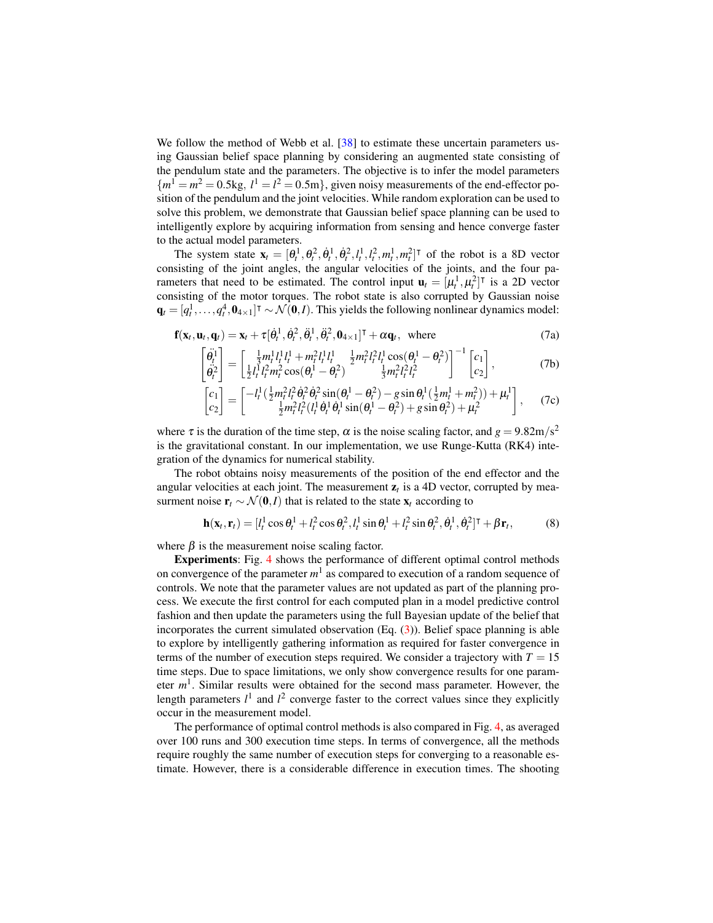We follow the method of Webb et al. [\[38\]](#page-15-9) to estimate these uncertain parameters using Gaussian belief space planning by considering an augmented state consisting of the pendulum state and the parameters. The objective is to infer the model parameters  ${m<sup>1</sup> = m<sup>2</sup> = 0.5 \text{kg}, l<sup>1</sup> = l<sup>2</sup> = 0.5 \text{m}}$ , given noisy measurements of the end-effector position of the pendulum and the joint velocities. While random exploration can be used to solve this problem, we demonstrate that Gaussian belief space planning can be used to intelligently explore by acquiring information from sensing and hence converge faster to the actual model parameters.

The system state  $\mathbf{x}_t = [\theta_t^1, \theta_t^2, \dot{\theta}_t^1, \dot{\theta}_t^2, l_t^1, l_t^2, m_t^1, m_t^2]^\mathsf{T}$  of the robot is a 8D vector consisting of the joint angles, the angular velocities of the joints, and the four parameters that need to be estimated. The control input  $\mathbf{u}_t = [\mu_t^1, \mu_t^2]^\top$  is a 2D vector consisting of the motor torques. The robot state is also corrupted by Gaussian noise  $\mathbf{q}_t = [q_t^1, \ldots, q_t^4, \mathbf{0}_{4 \times 1}]^\intercal \sim \mathcal{N}(\mathbf{0}, I)$ . This yields the following nonlinear dynamics model:

$$
\mathbf{f}(\mathbf{x}_t, \mathbf{u}_t, \mathbf{q}_t) = \mathbf{x}_t + \tau[\dot{\theta}_t^1, \dot{\theta}_t^2, \ddot{\theta}_t^1, \ddot{\theta}_t^2, \mathbf{0}_{4\times 1}]^\mathsf{T} + \alpha \mathbf{q}_t, \text{ where } (7a)
$$

$$
\begin{bmatrix} \ddot{\theta}_{t}^{1} \\ \ddot{\theta}_{t}^{2} \end{bmatrix} = \begin{bmatrix} \frac{1}{3} m_{t}^{1} l_{t}^{1} l_{t}^{1} + m_{t}^{2} l_{t}^{1} l_{t}^{1} & \frac{1}{2} m_{t}^{2} l_{t}^{2} l_{t}^{1} \cos(\theta_{t}^{1} - \theta_{t}^{2}) \\ \frac{1}{2} l_{t}^{1} l_{t}^{2} m_{t}^{2} \cos(\theta_{t}^{1} - \theta_{t}^{2}) & \frac{1}{3} m_{t}^{2} l_{t}^{2} l_{t}^{2} \end{bmatrix}^{-1} \begin{bmatrix} c_{1} \\ c_{2} \end{bmatrix},
$$
(7b)

$$
\begin{bmatrix} c_1 \\ c_2 \end{bmatrix} = \begin{bmatrix} -l_t^1(\frac{1}{2}m_t^2 l_t^2 \dot{\theta}_t^2 \dot{\theta}_t^2 \sin(\theta_t^1 - \theta_t^2) - g \sin \theta_t^1(\frac{1}{2}m_t^1 + m_t^2)) + \mu_t^1 \\ \frac{1}{2}m_t^2 l_t^2(l_t^1 \dot{\theta}_t^1 \dot{\theta}_t^1 \sin(\theta_t^1 - \theta_t^2) + g \sin \theta_t^2) + \mu_t^2 \end{bmatrix}, \quad (7c)
$$

where  $\tau$  is the duration of the time step,  $\alpha$  is the noise scaling factor, and  $g = 9.82 \text{m/s}^2$ is the gravitational constant. In our implementation, we use Runge-Kutta (RK4) integration of the dynamics for numerical stability.

The robot obtains noisy measurements of the position of the end effector and the angular velocities at each joint. The measurement  $z_t$  is a 4D vector, corrupted by measurment noise  $\mathbf{r}_t \sim \mathcal{N}(\mathbf{0}, I)$  that is related to the state  $\mathbf{x}_t$  according to

$$
\mathbf{h}(\mathbf{x}_t, \mathbf{r}_t) = [l_t^1 \cos \theta_t^1 + l_t^2 \cos \theta_t^2, l_t^1 \sin \theta_t^1 + l_t^2 \sin \theta_t^2, \dot{\theta}_t^1, \dot{\theta}_t^2]^\mathsf{T} + \beta \mathbf{r}_t,\tag{8}
$$

where  $\beta$  is the measurement noise scaling factor.

Experiments: Fig. [4](#page-11-0) shows the performance of different optimal control methods on convergence of the parameter *m* 1 as compared to execution of a random sequence of controls. We note that the parameter values are not updated as part of the planning process. We execute the first control for each computed plan in a model predictive control fashion and then update the parameters using the full Bayesian update of the belief that incorporates the current simulated observation  $(Eq. (3))$  $(Eq. (3))$  $(Eq. (3))$ . Belief space planning is able to explore by intelligently gathering information as required for faster convergence in terms of the number of execution steps required. We consider a trajectory with  $T = 15$ time steps. Due to space limitations, we only show convergence results for one parameter *m* 1 . Similar results were obtained for the second mass parameter. However, the length parameters  $l^1$  and  $l^2$  converge faster to the correct values since they explicitly occur in the measurement model.

The performance of optimal control methods is also compared in Fig. [4,](#page-11-0) as averaged over 100 runs and 300 execution time steps. In terms of convergence, all the methods require roughly the same number of execution steps for converging to a reasonable estimate. However, there is a considerable difference in execution times. The shooting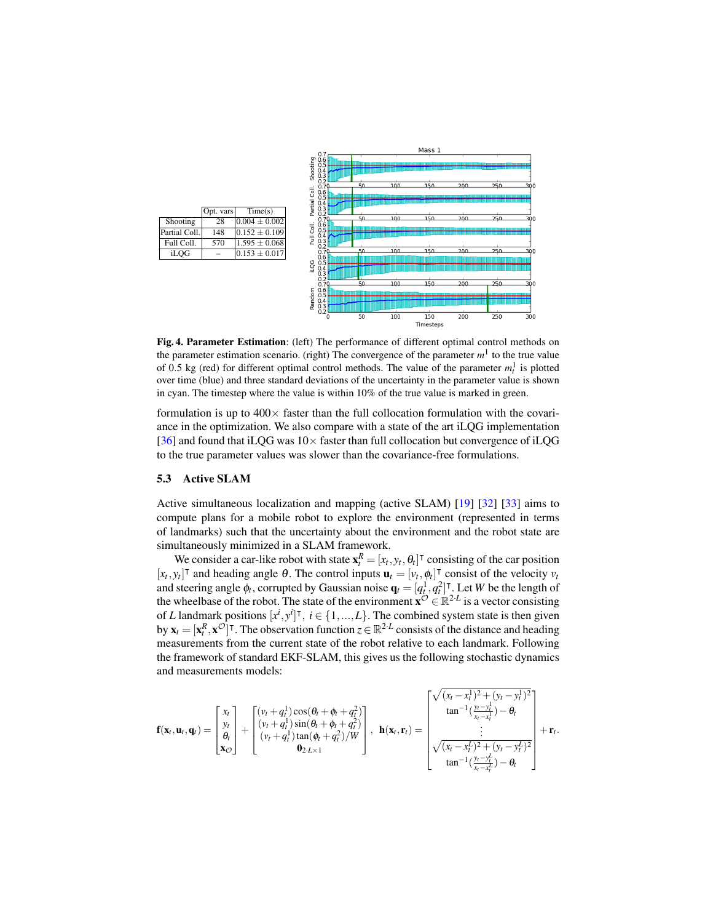

<span id="page-11-0"></span>Fig. 4. Parameter Estimation: (left) The performance of different optimal control methods on the parameter estimation scenario. (right) The convergence of the parameter  $m<sup>1</sup>$  to the true value of 0.5 kg (red) for different optimal control methods. The value of the parameter  $m_t^1$  is plotted over time (blue) and three standard deviations of the uncertainty in the parameter value is shown in cyan. The timestep where the value is within 10% of the true value is marked in green.

formulation is up to  $400 \times$  faster than the full collocation formulation with the covariance in the optimization. We also compare with a state of the art iLQG implementation [ $36$ ] and found that iLQG was  $10\times$  faster than full collocation but convergence of iLQG to the true parameter values was slower than the covariance-free formulations.

#### 5.3 Active SLAM

Active simultaneous localization and mapping (active SLAM) [\[19\]](#page-15-5) [\[32\]](#page-15-12) [\[33\]](#page-15-13) aims to compute plans for a mobile robot to explore the environment (represented in terms of landmarks) such that the uncertainty about the environment and the robot state are simultaneously minimized in a SLAM framework.

We consider a car-like robot with state  $\mathbf{x}_t^R = [x_t, y_t, \theta_t]^\top$  consisting of the car position  $[x_t, y_t]$ <sup>T</sup> and heading angle  $\theta$ . The control inputs  $\mathbf{u}_t = [v_t, \phi_t]$ <sup>T</sup> consist of the velocity  $v_t$ and steering angle  $\phi_t$ , corrupted by Gaussian noise  $\mathbf{q}_t = [q_t^1, q_t^2]^\top$ . Let *W* be the length of the wheelbase of the robot. The state of the environment  $\mathbf{x}^{\mathcal{O}} \in \mathbb{R}^{2L}$  is a vector consisting of *L* landmark positions  $[x^i, y^i]^\intercal$ ,  $i \in \{1, ..., L\}$ . The combined system state is then given by  $\mathbf{x}_t = [\mathbf{x}_t^R, \mathbf{x}^{\mathcal{O}}]^T$ . The observation function  $z \in \mathbb{R}^{2 \cdot L}$  consists of the distance and heading measurements from the current state of the robot relative to each landmark. Following the framework of standard EKF-SLAM, this gives us the following stochastic dynamics and measurements models:

$$
\mathbf{f}(\mathbf{x}_{t}, \mathbf{u}_{t}, \mathbf{q}_{t}) = \begin{bmatrix} x_{t} \\ y_{t} \\ \theta_{t} \\ \mathbf{x}_{0} \end{bmatrix} + \begin{bmatrix} (v_{t} + q_{t}^{1}) \cos(\theta_{t} + \phi_{t} + q_{t}^{2}) \\ (v_{t} + q_{t}^{1}) \sin(\theta_{t} + \phi_{t} + q_{t}^{2}) \\ (v_{t} + q_{t}^{1}) \tan(\phi_{t} + q_{t}^{2})/W \\ \mathbf{0}_{2 \cdot L \times 1} \end{bmatrix}, \quad \mathbf{h}(\mathbf{x}_{t}, \mathbf{r}_{t}) = \begin{bmatrix} \sqrt{(x_{t} - x_{t}^{1})^{2} + (y_{t} - y_{t}^{1})^{2}} \\ \tan^{-1}(\frac{y_{t} - y_{t}^{1}}{x_{t} - x_{t}^{1}}) - \theta_{t} \\ \vdots \\ \sqrt{(x_{t} - x_{t}^{L})^{2} + (y_{t} - y_{t}^{L})^{2}} \\ \tan^{-1}(\frac{y_{t} - y_{t}^{L}}{x_{t} - x_{t}^{L}}) - \theta_{t} \end{bmatrix} + \mathbf{r}_{t}.
$$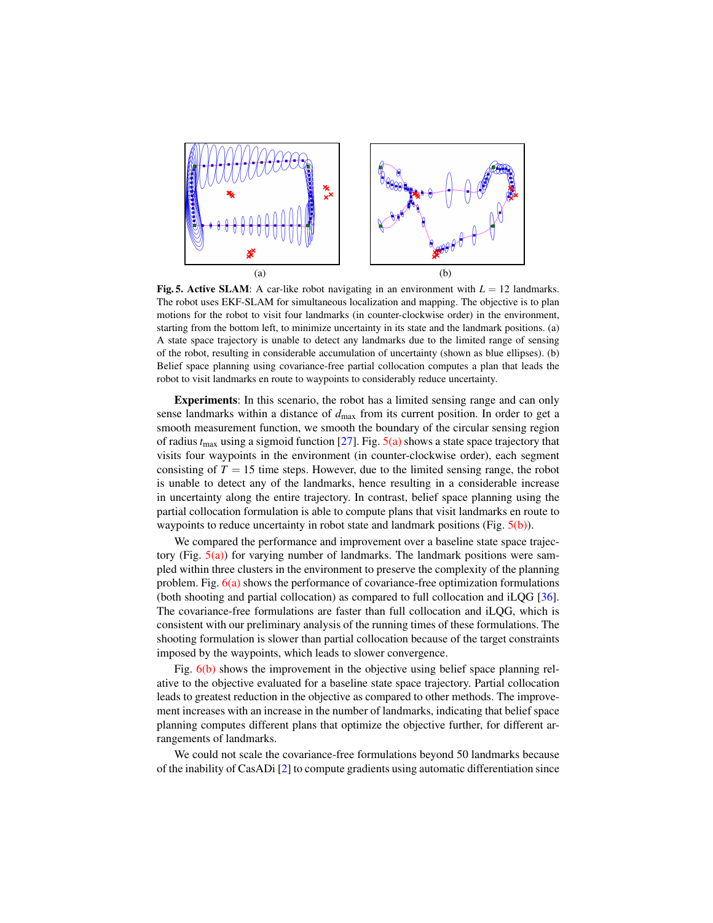

<span id="page-12-1"></span><span id="page-12-0"></span>Fig. 5. Active SLAM: A car-like robot navigating in an environment with  $L = 12$  landmarks. The robot uses EKF-SLAM for simultaneous localization and mapping. The objective is to plan motions for the robot to visit four landmarks (in counter-clockwise order) in the environment, starting from the bottom left, to minimize uncertainty in its state and the landmark positions. (a) A state space trajectory is unable to detect any landmarks due to the limited range of sensing of the robot, resulting in considerable accumulation of uncertainty (shown as blue ellipses). (b) Belief space planning using covariance-free partial collocation computes a plan that leads the robot to visit landmarks en route to waypoints to considerably reduce uncertainty.

Experiments: In this scenario, the robot has a limited sensing range and can only sense landmarks within a distance of *d*max from its current position. In order to get a smooth measurement function, we smooth the boundary of the circular sensing region of radius*t*max using a sigmoid function [\[27\]](#page-15-3). Fig. [5\(a\)](#page-12-0) shows a state space trajectory that visits four waypoints in the environment (in counter-clockwise order), each segment consisting of  $T = 15$  time steps. However, due to the limited sensing range, the robot is unable to detect any of the landmarks, hence resulting in a considerable increase in uncertainty along the entire trajectory. In contrast, belief space planning using the partial collocation formulation is able to compute plans that visit landmarks en route to waypoints to reduce uncertainty in robot state and landmark positions (Fig. [5\(b\)\)](#page-12-1).

We compared the performance and improvement over a baseline state space trajectory (Fig.  $5(a)$ ) for varying number of landmarks. The landmark positions were sampled within three clusters in the environment to preserve the complexity of the planning problem. Fig. [6\(a\)](#page-13-0) shows the performance of covariance-free optimization formulations (both shooting and partial collocation) as compared to full collocation and iLQG [\[36\]](#page-15-17). The covariance-free formulations are faster than full collocation and iLQG, which is consistent with our preliminary analysis of the running times of these formulations. The shooting formulation is slower than partial collocation because of the target constraints imposed by the waypoints, which leads to slower convergence.

Fig.  $6(b)$  shows the improvement in the objective using belief space planning relative to the objective evaluated for a baseline state space trajectory. Partial collocation leads to greatest reduction in the objective as compared to other methods. The improvement increases with an increase in the number of landmarks, indicating that belief space planning computes different plans that optimize the objective further, for different arrangements of landmarks.

We could not scale the covariance-free formulations beyond 50 landmarks because of the inability of CasADi [\[2\]](#page-14-3) to compute gradients using automatic differentiation since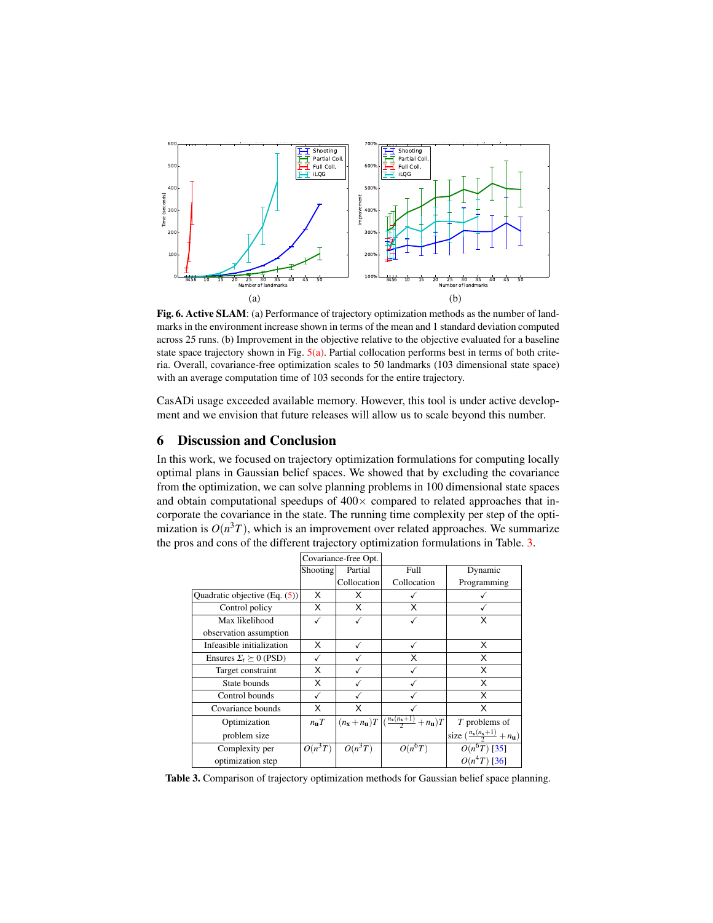

<span id="page-13-1"></span><span id="page-13-0"></span>Fig. 6. Active SLAM: (a) Performance of trajectory optimization methods as the number of landmarks in the environment increase shown in terms of the mean and 1 standard deviation computed across 25 runs. (b) Improvement in the objective relative to the objective evaluated for a baseline state space trajectory shown in Fig.  $5(a)$ . Partial collocation performs best in terms of both criteria. Overall, covariance-free optimization scales to 50 landmarks (103 dimensional state space) with an average computation time of 103 seconds for the entire trajectory.

CasADi usage exceeded available memory. However, this tool is under active development and we envision that future releases will allow us to scale beyond this number.

# 6 Discussion and Conclusion

In this work, we focused on trajectory optimization formulations for computing locally optimal plans in Gaussian belief spaces. We showed that by excluding the covariance from the optimization, we can solve planning problems in 100 dimensional state spaces and obtain computational speedups of  $400\times$  compared to related approaches that incorporate the covariance in the state. The running time complexity per step of the optimization is  $O(n^3T)$ , which is an improvement over related approaches. We summarize the pros and cons of the different trajectory optimization formulations in Table. [3.](#page-13-2)

|                                    |              | Covariance-free Opt. |                                                                                                             |                                              |
|------------------------------------|--------------|----------------------|-------------------------------------------------------------------------------------------------------------|----------------------------------------------|
|                                    | Shooting     | Partial              | Full                                                                                                        | Dynamic                                      |
|                                    |              | Collocation          | Collocation                                                                                                 | Programming                                  |
| Quadratic objective $(Eq. (5))$    | X            | X                    |                                                                                                             |                                              |
| Control policy                     | X            | X                    | X                                                                                                           |                                              |
| Max likelihood                     | ✓            | ✓                    |                                                                                                             | X                                            |
| observation assumption             |              |                      |                                                                                                             |                                              |
| Infeasible initialization          | X            |                      |                                                                                                             | X                                            |
| Ensures $\Sigma_t \succeq 0$ (PSD) | ✓            |                      | X                                                                                                           | X                                            |
| Target constraint                  | Χ            |                      |                                                                                                             | X                                            |
| State bounds                       | Χ            |                      |                                                                                                             | X                                            |
| Control bounds                     | ✓            |                      |                                                                                                             | X                                            |
| Covariance bounds                  | X            | X                    |                                                                                                             | X                                            |
| Optimization                       | $n_{\rm H}T$ |                      | $(n_{\mathbf{x}}+n_{\mathbf{u}})T\left[(\frac{n_{\mathbf{x}}(n_{\mathbf{x}}+1)}{2}+n_{\mathbf{u}})T\right]$ | T problems of                                |
| problem size                       |              |                      |                                                                                                             | size $\left(\frac{n_x(n_x+1)}{2}+n_u\right)$ |
| Complexity per                     | $O(n^3T)$    | $O(n^3T)$            | $O(n^6T)$                                                                                                   | $O(n^{6}T)$ [35]                             |
| optimization step                  |              |                      |                                                                                                             | $O(n^4T)$ [36]                               |

<span id="page-13-2"></span>Table 3. Comparison of trajectory optimization methods for Gaussian belief space planning.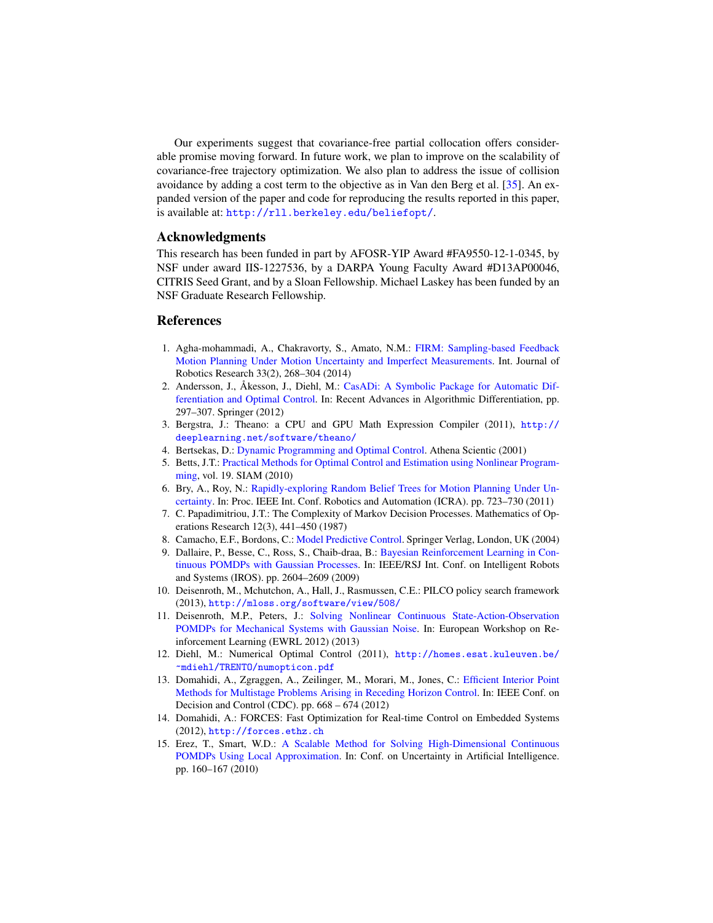Our experiments suggest that covariance-free partial collocation offers considerable promise moving forward. In future work, we plan to improve on the scalability of covariance-free trajectory optimization. We also plan to address the issue of collision avoidance by adding a cost term to the objective as in Van den Berg et al. [\[35\]](#page-15-4). An expanded version of the paper and code for reproducing the results reported in this paper, is available at: <http://rll.berkeley.edu/beliefopt/>.

# Acknowledgments

This research has been funded in part by AFOSR-YIP Award #FA9550-12-1-0345, by NSF under award IIS-1227536, by a DARPA Young Faculty Award #D13AP00046, CITRIS Seed Grant, and by a Sloan Fellowship. Michael Laskey has been funded by an NSF Graduate Research Fellowship.

# References

- <span id="page-14-7"></span>1. Agha-mohammadi, A., Chakravorty, S., Amato, N.M.: [FIRM: Sampling-based Feedback](http://ijr.sagepub.com/content/early/2013/11/14/0278364913501564.abstract) [Motion Planning Under Motion Uncertainty and Imperfect Measurements.](http://ijr.sagepub.com/content/early/2013/11/14/0278364913501564.abstract) Int. Journal of Robotics Research 33(2), 268–304 (2014)
- <span id="page-14-3"></span>2. Andersson, J., Åkesson, J., Diehl, M.: [CasADi: A Symbolic Package for Automatic Dif](https://github.com/casadi/casadi/wiki)[ferentiation and Optimal Control.](https://github.com/casadi/casadi/wiki) In: Recent Advances in Algorithmic Differentiation, pp. 297–307. Springer (2012)
- <span id="page-14-13"></span>3. Bergstra, J.: Theano: a CPU and GPU Math Expression Compiler (2011), [http://](http://deeplearning.net/software/theano/) [deeplearning.net/software/theano/](http://deeplearning.net/software/theano/)
- <span id="page-14-9"></span>4. Bertsekas, D.: [Dynamic Programming and Optimal Control.](http://athenasc.com/dpbook.html) Athena Scientic (2001)
- <span id="page-14-10"></span>5. Betts, J.T.: [Practical Methods for Optimal Control and Estimation using Nonlinear Program](epubs.siam.org/doi/book/10.1137/1.9780898718577‎)[ming,](epubs.siam.org/doi/book/10.1137/1.9780898718577‎) vol. 19. SIAM (2010)
- <span id="page-14-6"></span>6. Bry, A., Roy, N.: [Rapidly-exploring Random Belief Trees for Motion Planning Under Un](http://ieeexplore.ieee.org/xpls/abs_all.jsp?arnumber=5980508)[certainty.](http://ieeexplore.ieee.org/xpls/abs_all.jsp?arnumber=5980508) In: Proc. IEEE Int. Conf. Robotics and Automation (ICRA). pp. 723–730 (2011)
- <span id="page-14-0"></span>7. C. Papadimitriou, J.T.: The Complexity of Markov Decision Processes. Mathematics of Operations Research 12(3), 441–450 (1987)
- <span id="page-14-11"></span>8. Camacho, E.F., Bordons, C.: [Model Predictive Control.](http://www.springerlink.com/content/978-0-85729-398-5) Springer Verlag, London, UK (2004)
- <span id="page-14-8"></span>9. Dallaire, P., Besse, C., Ross, S., Chaib-draa, B.: [Bayesian Reinforcement Learning in Con](http://ieeexplore.ieee.org/xpls/abs_all.jsp?arnumber=5354013)[tinuous POMDPs with Gaussian Processes.](http://ieeexplore.ieee.org/xpls/abs_all.jsp?arnumber=5354013) In: IEEE/RSJ Int. Conf. on Intelligent Robots and Systems (IROS). pp. 2604–2609 (2009)
- <span id="page-14-14"></span>10. Deisenroth, M., Mchutchon, A., Hall, J., Rasmussen, C.E.: PILCO policy search framework (2013), <http://mloss.org/software/view/508/>
- <span id="page-14-2"></span>11. Deisenroth, M.P., Peters, J.: [Solving Nonlinear Continuous State-Action-Observation](http://hdl.handle.net/10044/1/12209) [POMDPs for Mechanical Systems with Gaussian Noise.](http://hdl.handle.net/10044/1/12209) In: European Workshop on Reinforcement Learning (EWRL 2012) (2013)
- <span id="page-14-12"></span>12. Diehl, M.: Numerical Optimal Control (2011), [http://homes.esat.kuleuven.be/](http://homes.esat.kuleuven.be/~mdiehl/TRENTO/numopticon.pdf) [~mdiehl/TRENTO/numopticon.pdf](http://homes.esat.kuleuven.be/~mdiehl/TRENTO/numopticon.pdf)
- <span id="page-14-4"></span>13. Domahidi, A., Zgraggen, A., Zeilinger, M., Morari, M., Jones, C.: [Efficient Interior Point](http://ieeexplore.ieee.org/xpls/abs_all.jsp?arnumber=6426855) [Methods for Multistage Problems Arising in Receding Horizon Control.](http://ieeexplore.ieee.org/xpls/abs_all.jsp?arnumber=6426855) In: IEEE Conf. on Decision and Control (CDC). pp. 668 – 674 (2012)
- <span id="page-14-5"></span>14. Domahidi, A.: FORCES: Fast Optimization for Real-time Control on Embedded Systems (2012), <http://forces.ethz.ch>
- <span id="page-14-1"></span>15. Erez, T., Smart, W.D.: [A Scalable Method for Solving High-Dimensional Continuous](http://arxiv.org/ftp/arxiv/papers/1203/1203.3477.pdf) [POMDPs Using Local Approximation.](http://arxiv.org/ftp/arxiv/papers/1203/1203.3477.pdf) In: Conf. on Uncertainty in Artificial Intelligence. pp. 160–167 (2010)